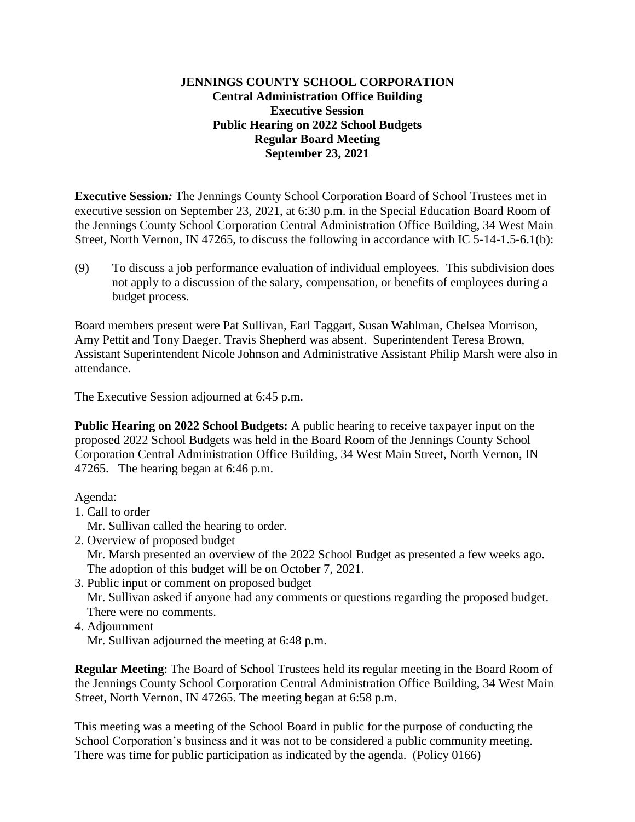#### **JENNINGS COUNTY SCHOOL CORPORATION Central Administration Office Building Executive Session Public Hearing on 2022 School Budgets Regular Board Meeting September 23, 2021**

**Executive Session***:* The Jennings County School Corporation Board of School Trustees met in executive session on September 23, 2021, at 6:30 p.m. in the Special Education Board Room of the Jennings County School Corporation Central Administration Office Building, 34 West Main Street, North Vernon, IN 47265, to discuss the following in accordance with IC 5-14-1.5-6.1(b):

(9) To discuss a job performance evaluation of individual employees. This subdivision does not apply to a discussion of the salary, compensation, or benefits of employees during a budget process.

Board members present were Pat Sullivan, Earl Taggart, Susan Wahlman, Chelsea Morrison, Amy Pettit and Tony Daeger. Travis Shepherd was absent. Superintendent Teresa Brown, Assistant Superintendent Nicole Johnson and Administrative Assistant Philip Marsh were also in attendance.

The Executive Session adjourned at 6:45 p.m.

**Public Hearing on 2022 School Budgets:** A public hearing to receive taxpayer input on the proposed 2022 School Budgets was held in the Board Room of the Jennings County School Corporation Central Administration Office Building, 34 West Main Street, North Vernon, IN 47265. The hearing began at 6:46 p.m.

Agenda:

- 1. Call to order
	- Mr. Sullivan called the hearing to order.
- 2. Overview of proposed budget

Mr. Marsh presented an overview of the 2022 School Budget as presented a few weeks ago. The adoption of this budget will be on October 7, 2021.

3. Public input or comment on proposed budget

 Mr. Sullivan asked if anyone had any comments or questions regarding the proposed budget. There were no comments.

4. Adjournment

Mr. Sullivan adjourned the meeting at 6:48 p.m.

**Regular Meeting**: The Board of School Trustees held its regular meeting in the Board Room of the Jennings County School Corporation Central Administration Office Building, 34 West Main Street, North Vernon, IN 47265. The meeting began at 6:58 p.m.

This meeting was a meeting of the School Board in public for the purpose of conducting the School Corporation's business and it was not to be considered a public community meeting. There was time for public participation as indicated by the agenda. (Policy 0166)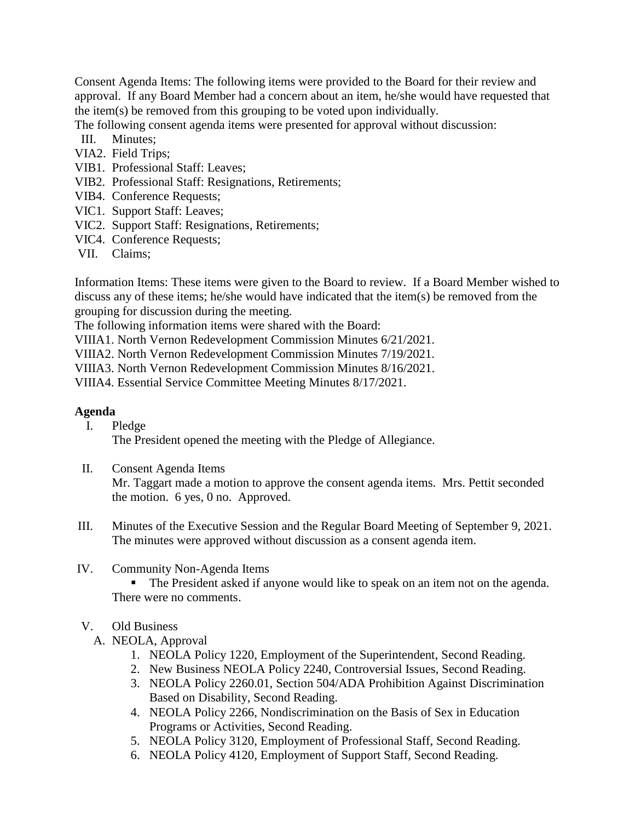Consent Agenda Items: The following items were provided to the Board for their review and approval. If any Board Member had a concern about an item, he/she would have requested that the item(s) be removed from this grouping to be voted upon individually.

The following consent agenda items were presented for approval without discussion:

- III. Minutes;
- VIA2. Field Trips;
- VIB1. Professional Staff: Leaves;
- VIB2. Professional Staff: Resignations, Retirements;
- VIB4. Conference Requests;
- VIC1. Support Staff: Leaves;
- VIC2. Support Staff: Resignations, Retirements;
- VIC4. Conference Requests;
- VII. Claims;

Information Items: These items were given to the Board to review. If a Board Member wished to discuss any of these items; he/she would have indicated that the item(s) be removed from the grouping for discussion during the meeting.

The following information items were shared with the Board:

VIIIA1. North Vernon Redevelopment Commission Minutes 6/21/2021.

VIIIA2. North Vernon Redevelopment Commission Minutes 7/19/2021.

VIIIA3. North Vernon Redevelopment Commission Minutes 8/16/2021.

VIIIA4. Essential Service Committee Meeting Minutes 8/17/2021.

#### **Agenda**

I. Pledge

The President opened the meeting with the Pledge of Allegiance.

II. Consent Agenda Items

Mr. Taggart made a motion to approve the consent agenda items. Mrs. Pettit seconded the motion. 6 yes, 0 no. Approved.

- III. Minutes of the Executive Session and the Regular Board Meeting of September 9, 2021. The minutes were approved without discussion as a consent agenda item.
- IV. Community Non-Agenda Items

The President asked if anyone would like to speak on an item not on the agenda. There were no comments.

- V. Old Business
	- A. NEOLA, Approval
		- 1. NEOLA Policy 1220, Employment of the Superintendent, Second Reading.
		- 2. New Business NEOLA Policy 2240, Controversial Issues, Second Reading.
		- 3. NEOLA Policy 2260.01, Section 504/ADA Prohibition Against Discrimination Based on Disability, Second Reading.
		- 4. NEOLA Policy 2266, Nondiscrimination on the Basis of Sex in Education Programs or Activities, Second Reading.
		- 5. NEOLA Policy 3120, Employment of Professional Staff, Second Reading.
		- 6. NEOLA Policy 4120, Employment of Support Staff, Second Reading.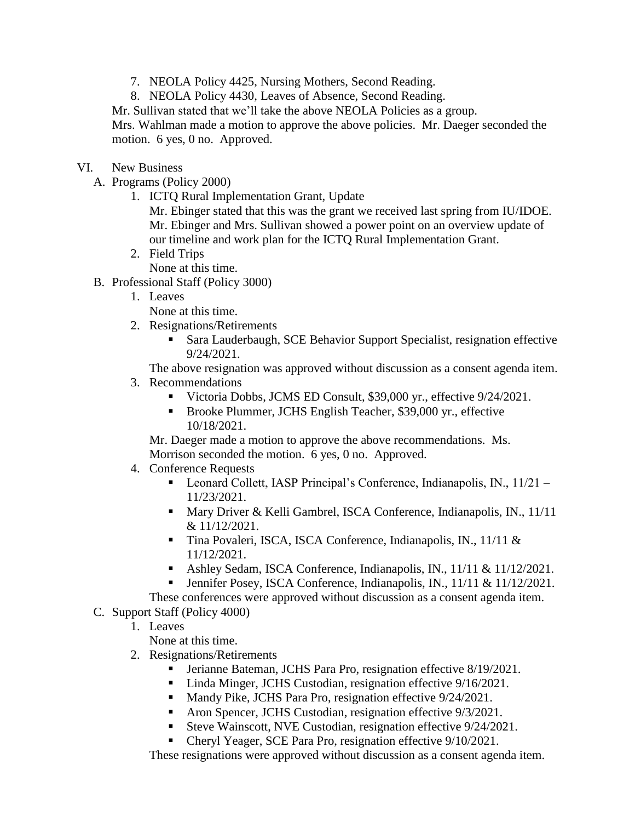- 7. NEOLA Policy 4425, Nursing Mothers, Second Reading.
- 8. NEOLA Policy 4430, Leaves of Absence, Second Reading.

Mr. Sullivan stated that we'll take the above NEOLA Policies as a group.

Mrs. Wahlman made a motion to approve the above policies. Mr. Daeger seconded the motion. 6 yes, 0 no. Approved.

## VI. New Business

- A. Programs (Policy 2000)
	- 1. ICTQ Rural Implementation Grant, Update

Mr. Ebinger stated that this was the grant we received last spring from IU/IDOE. Mr. Ebinger and Mrs. Sullivan showed a power point on an overview update of our timeline and work plan for the ICTQ Rural Implementation Grant.

2. Field Trips

None at this time.

- B. Professional Staff (Policy 3000)
	- 1. Leaves

None at this time.

- 2. Resignations/Retirements
	- Sara Lauderbaugh, SCE Behavior Support Specialist, resignation effective 9/24/2021.

The above resignation was approved without discussion as a consent agenda item.

- 3. Recommendations
	- Victoria Dobbs, JCMS ED Consult, \$39,000 yr., effective  $9/24/2021$ .
	- Brooke Plummer, JCHS English Teacher, \$39,000 yr., effective 10/18/2021.

Mr. Daeger made a motion to approve the above recommendations. Ms. Morrison seconded the motion. 6 yes, 0 no. Approved.

- 4. Conference Requests
	- Leonard Collett, IASP Principal's Conference, Indianapolis, IN., 11/21 11/23/2021.
	- Mary Driver & Kelli Gambrel, ISCA Conference, Indianapolis, IN., 11/11 & 11/12/2021.
	- Tina Povaleri, ISCA, ISCA Conference, Indianapolis, IN., 11/11 & 11/12/2021.
	- Ashley Sedam, ISCA Conference, Indianapolis, IN., 11/11 & 11/12/2021.
	- Jennifer Posey, ISCA Conference, Indianapolis, IN., 11/11 & 11/12/2021.
- These conferences were approved without discussion as a consent agenda item.
- C. Support Staff (Policy 4000)
	- 1. Leaves

None at this time.

- 2. Resignations/Retirements
	- Jerianne Bateman, JCHS Para Pro, resignation effective 8/19/2021.
	- Linda Minger, JCHS Custodian, resignation effective 9/16/2021.
	- **Mandy Pike, JCHS Para Pro, resignation effective 9/24/2021.**
	- Aron Spencer, JCHS Custodian, resignation effective  $9/3/2021$ .
	- Steve Wainscott, NVE Custodian, resignation effective 9/24/2021.
	- Cheryl Yeager, SCE Para Pro, resignation effective 9/10/2021.

These resignations were approved without discussion as a consent agenda item.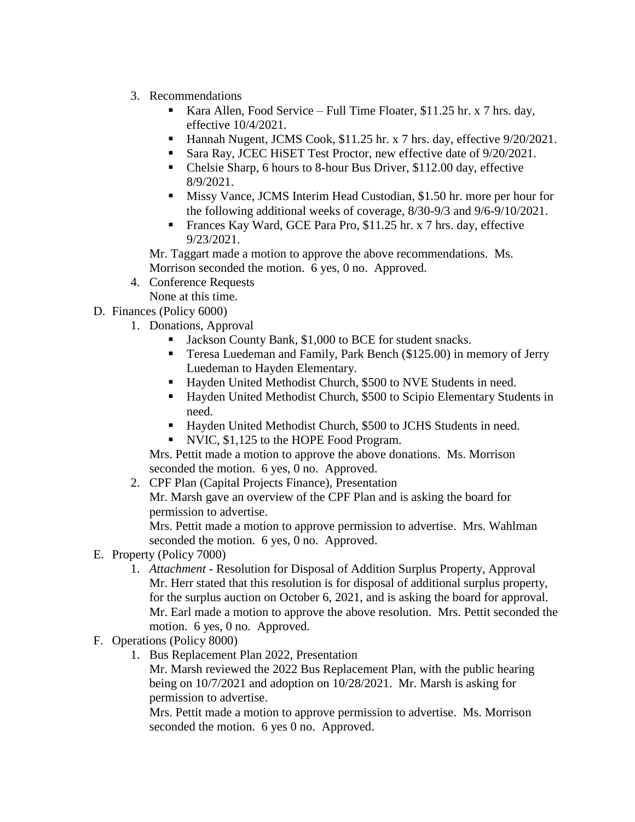- 3. Recommendations
	- Kara Allen, Food Service Full Time Floater, \$11.25 hr. x 7 hrs. day, effective 10/4/2021.
	- Hannah Nugent, JCMS Cook, \$11.25 hr. x 7 hrs. day, effective 9/20/2021.
	- Sara Ray, JCEC HiSET Test Proctor, new effective date of  $9/20/2021$ .
	- Chelsie Sharp, 6 hours to 8-hour Bus Driver, \$112.00 day, effective 8/9/2021.
	- Missy Vance, JCMS Interim Head Custodian, \$1.50 hr. more per hour for the following additional weeks of coverage, 8/30-9/3 and 9/6-9/10/2021.
	- Frances Kay Ward, GCE Para Pro, \$11.25 hr. x 7 hrs. day, effective 9/23/2021.

Mr. Taggart made a motion to approve the above recommendations. Ms. Morrison seconded the motion. 6 yes, 0 no. Approved.

- 4. Conference Requests None at this time.
- D. Finances (Policy 6000)
	- 1. Donations, Approval
		- Jackson County Bank, \$1,000 to BCE for student snacks.
		- Teresa Luedeman and Family, Park Bench (\$125.00) in memory of Jerry Luedeman to Hayden Elementary.
		- Hayden United Methodist Church, \$500 to NVE Students in need.
		- Hayden United Methodist Church, \$500 to Scipio Elementary Students in need.
		- Hayden United Methodist Church, \$500 to JCHS Students in need.
		- NVIC, \$1,125 to the HOPE Food Program.

Mrs. Pettit made a motion to approve the above donations. Ms. Morrison seconded the motion. 6 yes, 0 no. Approved.

2. CPF Plan (Capital Projects Finance), Presentation Mr. Marsh gave an overview of the CPF Plan and is asking the board for permission to advertise.

Mrs. Pettit made a motion to approve permission to advertise. Mrs. Wahlman seconded the motion. 6 yes, 0 no. Approved.

- E. Property (Policy 7000)
	- 1. *Attachment -* Resolution for Disposal of Addition Surplus Property, Approval Mr. Herr stated that this resolution is for disposal of additional surplus property, for the surplus auction on October 6, 2021, and is asking the board for approval. Mr. Earl made a motion to approve the above resolution. Mrs. Pettit seconded the motion. 6 yes, 0 no. Approved.
- F. Operations (Policy 8000)
	- 1. Bus Replacement Plan 2022, Presentation

Mr. Marsh reviewed the 2022 Bus Replacement Plan, with the public hearing being on 10/7/2021 and adoption on 10/28/2021. Mr. Marsh is asking for permission to advertise.

Mrs. Pettit made a motion to approve permission to advertise. Ms. Morrison seconded the motion. 6 yes 0 no. Approved.